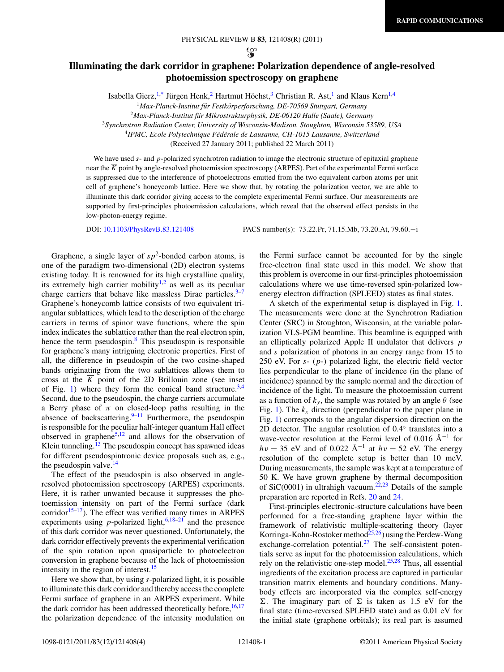ယ္စ

## **Illuminating the dark corridor in graphene: Polarization dependence of angle-resolved photoemission spectroscopy on graphene**

Isabella Gierz,<sup>1[,\\*](#page-3-0)</sup> Jürgen Henk,<sup>2</sup> Hartmut Höchst,<sup>3</sup> Christian R. Ast,<sup>1</sup> and Klaus Kern<sup>1,4</sup>

<sup>1</sup> Max-Planck-Institut für Festkörperforschung, DE-70569 Stuttgart, Germany

<sup>2</sup>*Max-Planck-Institut fur Mikrostrukturphysik, DE-06120 Halle (Saale), Germany ¨*

<sup>3</sup>*Synchrotron Radiation Center, University of Wisconsin-Madison, Stoughton, Wisconsin 53589, USA*

<sup>4</sup>*IPMC, Ecole Polytechnique Fed´ erale de Lausanne, CH-1015 Lausanne, Switzerland ´*

(Received 27 January 2011; published 22 March 2011)

We have used *s*- and *p*-polarized synchrotron radiation to image the electronic structure of epitaxial graphene near the  $\overline{K}$  point by angle-resolved photoemission spectroscopy (ARPES). Part of the experimental Fermi surface is suppressed due to the interference of photoelectrons emitted from the two equivalent carbon atoms per unit cell of graphene's honeycomb lattice. Here we show that, by rotating the polarization vector, we are able to illuminate this dark corridor giving access to the complete experimental Fermi surface. Our measurements are supported by first-principles photoemission calculations, which reveal that the observed effect persists in the low-photon-energy regime.

DOI: [10.1103/PhysRevB.83.121408](http://dx.doi.org/10.1103/PhysRevB.83.121408) PACS number(s): 73*.*22*.*Pr, 71*.*15*.*Mb, 73*.*20*.*At, 79*.*60*.*−i

Graphene, a single layer of  $sp^2$ -bonded carbon atoms, is one of the paradigm two-dimensional (2D) electron systems existing today. It is renowned for its high crystalline quality, its extremely high carrier mobility<sup>1,2</sup> as well as its peculiar charge carriers that behave like massless Dirac particles. $3-7$ Graphene's honeycomb lattice consists of two equivalent triangular sublattices, which lead to the description of the charge carriers in terms of spinor wave functions, where the spin index indicates the sublattice rather than the real electron spin, hence the term pseudospin.<sup>[8](#page-3-0)</sup> This pseudospin is responsible for graphene's many intriguing electronic properties. First of all, the difference in pseudospin of the two cosine-shaped bands originating from the two sublattices allows them to cross at the  $\overline{K}$  point of the 2D Brillouin zone (see inset of Fig. [1\)](#page-1-0) where they form the conical band structure.<sup>[3,4](#page-3-0)</sup> Second, due to the pseudospin, the charge carriers accumulate a Berry phase of  $\pi$  on closed-loop paths resulting in the absence of backscattering. $9-11$  Furthermore, the pseudospin is responsible for the peculiar half-integer quantum Hall effect observed in graphene $5,12$  and allows for the observation of Klein tunneling.<sup>[13](#page-3-0)</sup> The pseudospin concept has spawned ideas for different pseudospintronic device proposals such as, e.g., the pseudospin valve. $^{14}$ 

The effect of the pseudospin is also observed in angleresolved photoemission spectroscopy (ARPES) experiments. Here, it is rather unwanted because it suppresses the photoemission intensity on part of the Fermi surface (dark corridor<sup>15–17</sup>). The effect was verified many times in ARPES experiments using *p*-polarized light,  $6,18-21$  and the presence of this dark corridor was never questioned. Unfortunately, the dark corridor effectively prevents the experimental verification of the spin rotation upon quasiparticle to photoelectron conversion in graphene because of the lack of photoemission intensity in the region of interest.<sup>15</sup>

Here we show that, by using *s*-polarized light, it is possible to illuminate this dark corridor and thereby access the complete Fermi surface of graphene in an ARPES experiment. While the dark corridor has been addressed theoretically before,  $16,17$ the polarization dependence of the intensity modulation on the Fermi surface cannot be accounted for by the single free-electron final state used in this model. We show that this problem is overcome in our first-principles photoemission calculations where we use time-reversed spin-polarized lowenergy electron diffraction (SPLEED) states as final states.

A sketch of the experimental setup is displayed in Fig. [1.](#page-1-0) The measurements were done at the Synchrotron Radiation Center (SRC) in Stoughton, Wisconsin, at the variable polarization VLS-PGM beamline. This beamline is equipped with an elliptically polarized Apple II undulator that delivers *p* and *s* polarization of photons in an energy range from 15 to 250 eV. For *s*- (*p*-) polarized light, the electric field vector lies perpendicular to the plane of incidence (in the plane of incidence) spanned by the sample normal and the direction of incidence of the light. To measure the photoemission current as a function of  $k_v$ , the sample was rotated by an angle  $\theta$  (see Fig. [1\)](#page-1-0). The  $k_x$  direction (perpendicular to the paper plane in Fig. [1\)](#page-1-0) corresponds to the angular dispersion direction on the 2D detector. The angular resolution of 0.4◦ translates into a wave-vector resolution at the Fermi level of 0.016  $\rm \AA^{-1}$  for  $hv = 35$  eV and of 0.022 Å<sup>-1</sup> at  $hv = 52$  eV. The energy resolution of the complete setup is better than 10 meV. During measurements, the sample was kept at a temperature of 50 K. We have grown graphene by thermal decomposition of SiC(0001) in ultrahigh vacuum.<sup>[22,23](#page-3-0)</sup> Details of the sample preparation are reported in Refs. [20](#page-3-0) and [24.](#page-3-0)

First-principles electronic-structure calculations have been performed for a free-standing graphene layer within the framework of relativistic multiple-scattering theory (layer Korringa-Kohn-Rostoker method<sup>25,26</sup>) using the Perdew-Wang exchange-correlation potential. $^{27}$  $^{27}$  $^{27}$  The self-consistent potentials serve as input for the photoemission calculations, which rely on the relativistic one-step model. $25,28$  Thus, all essential ingredients of the excitation process are captured in particular transition matrix elements and boundary conditions. Manybody effects are incorporated via the complex self-energy  $\Sigma$ . The imaginary part of  $\Sigma$  is taken as 1.5 eV for the final state (time-reversed SPLEED state) and as 0.01 eV for the initial state (graphene orbitals); its real part is assumed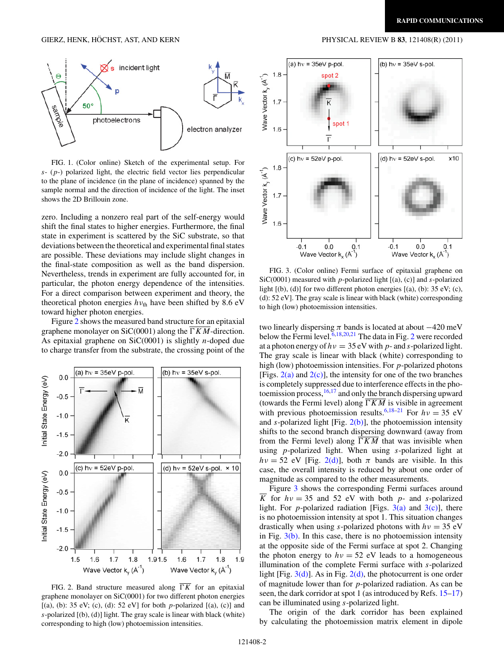<span id="page-1-0"></span>

FIG. 1. (Color online) Sketch of the experimental setup. For *s*- (*p*-) polarized light, the electric field vector lies perpendicular to the plane of incidence (in the plane of incidence) spanned by the sample normal and the direction of incidence of the light. The inset shows the 2D Brillouin zone.

zero. Including a nonzero real part of the self-energy would shift the final states to higher energies. Furthermore, the final state in experiment is scattered by the SiC substrate, so that deviations between the theoretical and experimental final states are possible. These deviations may include slight changes in the final-state composition as well as the band dispersion. Nevertheless, trends in experiment are fully accounted for, in particular, the photon energy dependence of the intensities. For a direct comparison between experiment and theory, the theoretical photon energies  $h v_{\text{th}}$  have been shifted by 8.6 eV toward higher photon energies.

Figure 2 shows the measured band structure for an epitaxial graphene monolayer on  $SiC(0001)$  along the  $\Gamma K M$ -direction. As epitaxial graphene on SiC(0001) is slightly *n*-doped due to charge transfer from the substrate, the crossing point of the



FIG. 2. Band structure measured along  $\overline{TK}$  for an epitaxial graphene monolayer on SiC(0001) for two different photon energies [(a), (b): 35 eV; (c), (d): 52 eV] for both *p*-polarized [(a), (c)] and *s*-polarized [(b), (d)] light. The gray scale is linear with black (white) corresponding to high (low) photoemission intensities.



FIG. 3. (Color online) Fermi surface of epitaxial graphene on SiC(0001) measured with *p*-polarized light [(a), (c)] and *s*-polarized light  $[(b), (d)]$  for two different photon energies  $[(a), (b))$ : 35 eV; (c), (d): 52 eV]. The gray scale is linear with black (white) corresponding to high (low) photoemission intensities.

two linearly dispersing  $\pi$  bands is located at about  $-420$  meV below the Fermi level.<sup>[6,18,20,21](#page-3-0)</sup> The data in Fig. 2 were recorded at a photon energy of  $hv = 35$  eV with  $p$ - and  $s$ -polarized light. The gray scale is linear with black (white) corresponding to high (low) photoemission intensities. For *p*-polarized photons [Figs.  $2(a)$  and  $2(c)$ ], the intensity for one of the two branches is completely suppressed due to interference effects in the photoemission process[,16,17](#page-3-0) and only the branch dispersing upward (towards the Fermi level) along  $\overline{\Gamma KM}$  is visible in agreement with previous photoemission results.<sup>6,18–21</sup> For  $hv = 35$  eV and *s*-polarized light [Fig.  $2(b)$ ], the photoemission intensity shifts to the second branch dispersing downward (away from from the Fermi level) along  $\overline{YKM}$  that was invisible when using *p*-polarized light. When using *s*-polarized light at  $hv = 52$  eV [Fig. 2(d)], both  $\pi$  bands are visible. In this case, the overall intensity is reduced by about one order of magnitude as compared to the other measurements.

Figure 3 shows the corresponding Fermi surfaces around *K* for  $hv = 35$  and 52 eV with both *p*- and *s*-polarized light. For *p*-polarized radiation [Figs.  $3(a)$  and  $3(c)$ ], there is no photoemission intensity at spot 1. This situation changes drastically when using *s*-polarized photons with *hν* = 35 eV in Fig.  $3(b)$ . In this case, there is no photoemission intensity at the opposite side of the Fermi surface at spot 2. Changing the photon energy to  $hv = 52$  eV leads to a homogeneous illumination of the complete Fermi surface with *s*-polarized light [Fig.  $3(d)$ ]. As in Fig.  $2(d)$ , the photocurrent is one order of magnitude lower than for *p*-polarized radiation. As can be seen, the dark corridor at spot 1 (as introduced by Refs. [15–17\)](#page-3-0) can be illuminated using *s*-polarized light.

The origin of the dark corridor has been explained by calculating the photoemission matrix element in dipole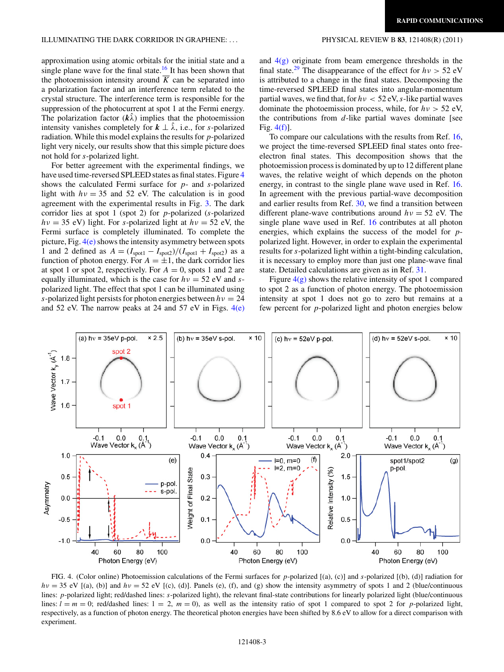<span id="page-2-0"></span>approximation using atomic orbitals for the initial state and a single plane wave for the final state.<sup>[16](#page-3-0)</sup> It has been shown that the photoemission intensity around  $\overline{K}$  can be separated into a polarization factor and an interference term related to the crystal structure. The interference term is responsible for the suppression of the photocurrent at spot 1 at the Fermi energy. The polarization factor  $(k\lambda)$  implies that the photoemission intensity vanishes completely for  $k \perp \hat{\lambda}$ , i.e., for *s*-polarized radiation. While this model explains the results for *p*-polarized light very nicely, our results show that this simple picture does not hold for *s*-polarized light.

For better agreement with the experimental findings, we have used time-reversed SPLEED states as final states. Figure 4 shows the calculated Fermi surface for *p*- and *s*-polarized light with  $hv = 35$  and 52 eV. The calculation is in good agreement with the experimental results in Fig. [3.](#page-1-0) The dark corridor lies at spot 1 (spot 2) for *p*-polarized (*s*-polarized  $hv = 35$  eV) light. For *s*-polarized light at  $hv = 52$  eV, the Fermi surface is completely illuminated. To complete the picture, Fig.  $4(e)$  shows the intensity asymmetry between spots 1 and 2 defined as  $A = (I_{\text{spot1}} - I_{\text{spot2}})/(I_{\text{spot1}} + I_{\text{spot2}})$  as a function of photon energy. For  $A = \pm 1$ , the dark corridor lies at spot 1 or spot 2, respectively. For  $A = 0$ , spots 1 and 2 are equally illuminated, which is the case for *hν* = 52 eV and *s*polarized light. The effect that spot 1 can be illuminated using *s*-polarized light persists for photon energies between *hν* = 24 and 52 eV. The narrow peaks at 24 and 57 eV in Figs.  $4(e)$  and  $4(g)$  originate from beam emergence thresholds in the final state.<sup>[29](#page-3-0)</sup> The disappearance of the effect for  $h\nu > 52$  eV is attributed to a change in the final states. Decomposing the time-reversed SPLEED final states into angular-momentum partial waves, we find that, for  $h\nu < 52$  eV, *s*-like partial waves dominate the photoemission process, while, for *hν >* 52 eV, the contributions from *d*-like partial waves dominate [see Fig. 4(f)].

To compare our calculations with the results from Ref. [16,](#page-3-0) we project the time-reversed SPLEED final states onto freeelectron final states. This decomposition shows that the photoemission process is dominated by up to 12 different plane waves, the relative weight of which depends on the photon energy, in contrast to the single plane wave used in Ref. [16.](#page-3-0) In agreement with the previous partial-wave decomposition and earlier results from Ref. [30,](#page-3-0) we find a transition between different plane-wave contributions around *hν* = 52 eV. The single plane wave used in Ref. [16](#page-3-0) contributes at all photon energies, which explains the success of the model for *p*polarized light. However, in order to explain the experimental results for *s*-polarized light within a tight-binding calculation, it is necessary to employ more than just one plane-wave final state. Detailed calculations are given as in Ref. [31.](#page-3-0)

Figure  $4(g)$  shows the relative intensity of spot 1 compared to spot 2 as a function of photon energy. The photoemission intensity at spot 1 does not go to zero but remains at a few percent for *p*-polarized light and photon energies below



FIG. 4. (Color online) Photoemission calculations of the Fermi surfaces for *p*-polarized [(a), (c)] and *s*-polarized [(b), (d)] radiation for  $hv = 35$  eV [(a), (b)] and  $hv = 52$  eV [(c), (d)]. Panels (e), (f), and (g) show the intensity asymmetry of spots 1 and 2 (blue/continuous lines: *p*-polarized light; red/dashed lines: *s*-polarized light), the relevant final-state contributions for linearly polarized light (blue/continuous lines:  $l = m = 0$ ; red/dashed lines:  $l = 2$ ,  $m = 0$ ), as well as the intensity ratio of spot 1 compared to spot 2 for *p*-polarized light, respectively, as a function of photon energy. The theoretical photon energies have been shifted by 8.6 eV to allow for a direct comparison with experiment.